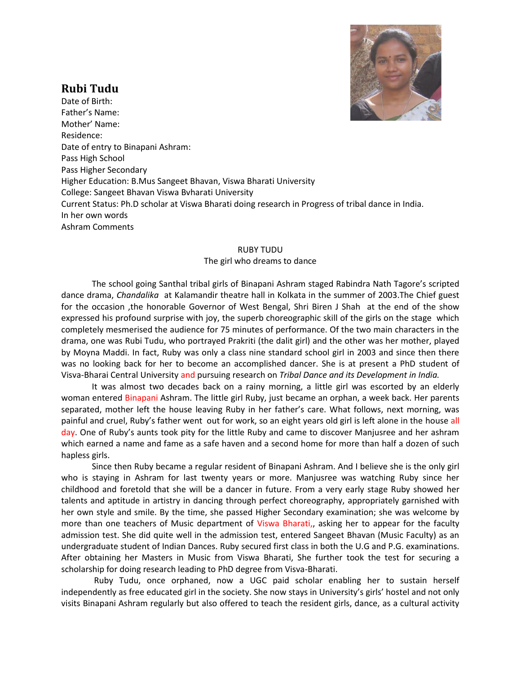

## **Rubi Tudu**

Date of Birth: Father's Name: Mother' Name: Residence: Date of entry to Binapani Ashram: Pass High School Pass Higher Secondary Higher Education: B.Mus Sangeet Bhavan, Viswa Bharati University College: Sangeet Bhavan Viswa Bvharati University Current Status: Ph.D scholar at Viswa Bharati doing research in Progress of tribal dance in India. In her own words Ashram Comments

## RUBY TUDU

## The girl who dreams to dance

The school going Santhal tribal girls of Binapani Ashram staged Rabindra Nath Tagore's scripted dance drama, *Chandalika* at Kalamandir theatre hall in Kolkata in the summer of 2003.The Chief guest for the occasion ,the honorable Governor of West Bengal, Shri Biren J Shah at the end of the show expressed his profound surprise with joy, the superb choreographic skill of the girls on the stage which completely mesmerised the audience for 75 minutes of performance. Of the two main characters in the drama, one was Rubi Tudu, who portrayed Prakriti (the dalit girl) and the other was her mother, played by Moyna Maddi. In fact, Ruby was only a class nine standard school girl in 2003 and since then there was no looking back for her to become an accomplished dancer. She is at present a PhD student of Visva-Bharai Central University and pursuing research on *Tribal Dance and its Development in India.*

It was almost two decades back on a rainy morning, a little girl was escorted by an elderly woman entered Binapani Ashram. The little girl Ruby, just became an orphan, a week back. Her parents separated, mother left the house leaving Ruby in her father's care. What follows, next morning, was painful and cruel, Ruby's father went out for work, so an eight years old girl is left alone in the house all day. One of Ruby's aunts took pity for the little Ruby and came to discover Manjusree and her ashram which earned a name and fame as a safe haven and a second home for more than half a dozen of such hapless girls.

Since then Ruby became a regular resident of Binapani Ashram. And I believe she is the only girl who is staying in Ashram for last twenty years or more. Manjusree was watching Ruby since her childhood and foretold that she will be a dancer in future. From a very early stage Ruby showed her talents and aptitude in artistry in dancing through perfect choreography, appropriately garnished with her own style and smile. By the time, she passed Higher Secondary examination; she was welcome by more than one teachers of Music department of Viswa Bharati,, asking her to appear for the faculty admission test. She did quite well in the admission test, entered Sangeet Bhavan (Music Faculty) as an undergraduate student of Indian Dances. Ruby secured first class in both the U.G and P.G. examinations. After obtaining her Masters in Music from Viswa Bharati, She further took the test for securing a scholarship for doing research leading to PhD degree from Visva-Bharati.

Ruby Tudu, once orphaned, now a UGC paid scholar enabling her to sustain herself independently as free educated girl in the society. She now stays in University's girls' hostel and not only visits Binapani Ashram regularly but also offered to teach the resident girls, dance, as a cultural activity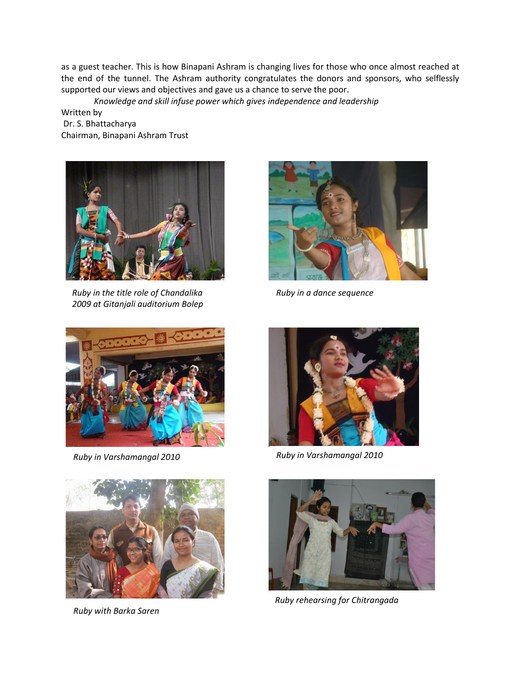as a guest teacher. This is how Binapani Ashram is changing lives for those who once almost reached at the end of the tunnel. The Ashram authority congratulates the donors and sponsors, who selflessly supported our views and objectives and gave us a chance to serve the poor.

*Knowledge and skill infuse power which gives independence and leadership*

Written by Dr. S. Bhattacharya Chairman, Binapani Ashram Trust



Ru *Ruby in the title role of Chandalika 2009 at Gitanjali auditorium Bolep*



*Ruby in a dance sequence*





*Ruby with Barka Saren*



*Ruby in Varshamangal 2010 Ruby in Varshamangal 2010*



*Ruby rehearsing for Chitrangada*